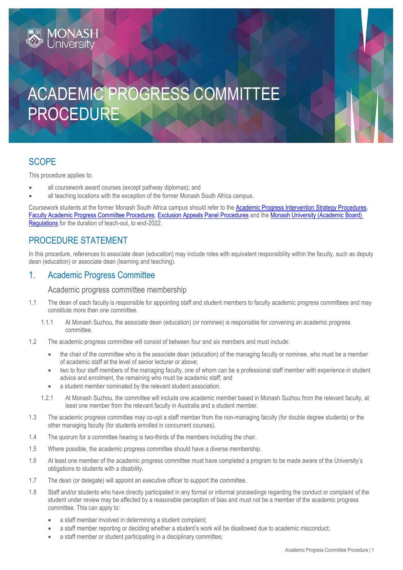# ACADEMIC PROGRESS COMMITTEE PROCEDURE

# **SCOPE**

This procedure applies to:

- all coursework award courses (except pathway diplomas); and
- all teaching locations with the exception of the former Monash South Africa campus.

Coursework students at the former Monash South Africa campus should refer to the **Academic Progress Intervention Strategy Procedures**, [Faculty Academic Progress Committee](https://publicpolicydms.monash.edu/Monash/documents/1934256) Procedures, [Exclusion Appeals Panel Procedures](https://publicpolicydms.monash.edu/Monash/documents/1934255) and th[e Monash University \(Academic Board\)](https://www.monash.edu/legal/legislation/current-statute-regulations-and-related-resolutions)  [Regulations](https://www.monash.edu/legal/legislation/current-statute-regulations-and-related-resolutions) for the duration of teach-out, to end-2022.

# PROCEDURE STATEMENT

In this procedure, references to associate dean (education) may include roles with equivalent responsibility within the faculty, such as deputy dean (education) or associate dean (learning and teaching).

# 1. Academic Progress Committee

## Academic progress committee membership

- 1.1 The dean of each faculty is responsible for appointing staff and student members to faculty academic progress committees and may constitute more than one committee.
	- 1.1.1 At Monash Suzhou, the associate dean (education) (or nominee) is responsible for convening an academic progress committee.
- 1.2 The academic progress committee will consist of between four and six members and must include:
	- the chair of the committee who is the associate dean (education) of the managing faculty or nominee, who must be a member of academic staff at the level of senior lecturer or above;
	- two to four staff members of the managing faculty, one of whom can be a professional staff member with experience in student advice and enrolment, the remaining who must be academic staff; and
	- a student member nominated by the relevant student association.
	- 1.2.1 At Monash Suzhou, the committee will include one academic member based in Monash Suzhou from the relevant faculty, at least one member from the relevant faculty in Australia and a student member.
- 1.3 The academic progress committee may co-opt a staff member from the non-managing faculty (for double degree students) or the other managing faculty (for students enrolled in concurrent courses).
- 1.4 The quorum for a committee hearing is two-thirds of the members including the chair.
- 1.5 Where possible, the academic progress committee should have a diverse membership.
- 1.6 At least one member of the academic progress committee must have completed a program to be made aware of the University's obligations to students with a disability.
- 1.7 The dean (or delegate) will appoint an executive officer to support the committee.
- 1.8 Staff and/or students who have directly participated in any formal or informal proceedings regarding the conduct or complaint of the student under review may be affected by a reasonable perception of bias and must not be a member of the academic progress committee. This can apply to:
	- a staff member involved in determining a student complaint;
	- a staff member reporting or deciding whether a student's work will be disallowed due to academic misconduct;
	- a staff member or student participating in a disciplinary committee;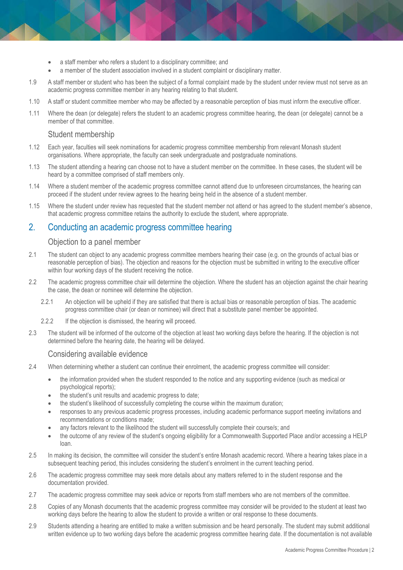- a staff member who refers a student to a disciplinary committee; and
- a member of the student association involved in a student complaint or disciplinary matter.
- 1.9 A staff member or student who has been the subject of a formal complaint made by the student under review must not serve as an academic progress committee member in any hearing relating to that student.
- 1.10 A staff or student committee member who may be affected by a reasonable perception of bias must inform the executive officer.
- 1.11 Where the dean (or delegate) refers the student to an academic progress committee hearing, the dean (or delegate) cannot be a member of that committee.

## Student membership

- 1.12 Each year, faculties will seek nominations for academic progress committee membership from relevant Monash student organisations. Where appropriate, the faculty can seek undergraduate and postgraduate nominations.
- 1.13 The student attending a hearing can choose not to have a student member on the committee. In these cases, the student will be heard by a committee comprised of staff members only.
- 1.14 Where a student member of the academic progress committee cannot attend due to unforeseen circumstances, the hearing can proceed if the student under review agrees to the hearing being held in the absence of a student member.
- 1.15 Where the student under review has requested that the student member not attend or has agreed to the student member's absence, that academic progress committee retains the authority to exclude the student, where appropriate.

# 2. Conducting an academic progress committee hearing

## Objection to a panel member

- 2.1 The student can object to any academic progress committee members hearing their case (e.g. on the grounds of actual bias or reasonable perception of bias). The objection and reasons for the objection must be submitted in writing to the executive officer within four working days of the student receiving the notice.
- 2.2 The academic progress committee chair will determine the objection. Where the student has an objection against the chair hearing the case, the dean or nominee will determine the objection.
	- 2.2.1 An objection will be upheld if they are satisfied that there is actual bias or reasonable perception of bias. The academic progress committee chair (or dean or nominee) will direct that a substitute panel member be appointed.
	- 2.2.2 If the objection is dismissed, the hearing will proceed.
- 2.3 The student will be informed of the outcome of the objection at least two working days before the hearing. If the objection is not determined before the hearing date, the hearing will be delayed.

#### Considering available evidence

- 2.4 When determining whether a student can continue their enrolment, the academic progress committee will consider:
	- the information provided when the student responded to the notice and any supporting evidence (such as medical or psychological reports);
	- the student's unit results and academic progress to date;
	- the student's likelihood of successfully completing the course within the maximum duration;
	- responses to any previous academic progress processes, including academic performance support meeting invitations and recommendations or conditions made;
	- any factors relevant to the likelihood the student will successfully complete their course/s; and
	- the outcome of any review of the student's ongoing eligibility for a Commonwealth Supported Place and/or accessing a HELP loan.
- 2.5 In making its decision, the committee will consider the student's entire Monash academic record. Where a hearing takes place in a subsequent teaching period, this includes considering the student's enrolment in the current teaching period.
- 2.6 The academic progress committee may seek more details about any matters referred to in the student response and the documentation provided.
- 2.7 The academic progress committee may seek advice or reports from staff members who are not members of the committee.
- 2.8 Copies of any Monash documents that the academic progress committee may consider will be provided to the student at least two working days before the hearing to allow the student to provide a written or oral response to these documents.
- 2.9 Students attending a hearing are entitled to make a written submission and be heard personally. The student may submit additional written evidence up to two working days before the academic progress committee hearing date. If the documentation is not available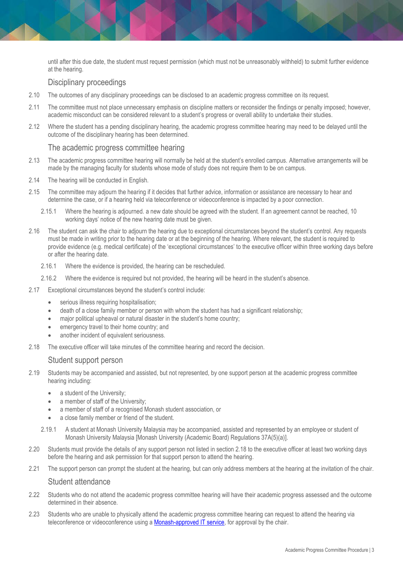until after this due date, the student must request permission (which must not be unreasonably withheld) to submit further evidence at the hearing.

## Disciplinary proceedings

- 2.10 The outcomes of any disciplinary proceedings can be disclosed to an academic progress committee on its request.
- 2.11 The committee must not place unnecessary emphasis on discipline matters or reconsider the findings or penalty imposed; however, academic misconduct can be considered relevant to a student's progress or overall ability to undertake their studies.
- 2.12 Where the student has a pending disciplinary hearing, the academic progress committee hearing may need to be delayed until the outcome of the disciplinary hearing has been determined.

#### The academic progress committee hearing

- 2.13 The academic progress committee hearing will normally be held at the student's enrolled campus. Alternative arrangements will be made by the managing faculty for students whose mode of study does not require them to be on campus.
- 2.14 The hearing will be conducted in English.
- 2.15 The committee may adjourn the hearing if it decides that further advice, information or assistance are necessary to hear and determine the case, or if a hearing held via teleconference or videoconference is impacted by a poor connection.
	- 2.15.1 Where the hearing is adjourned. a new date should be agreed with the student. If an agreement cannot be reached, 10 working days' notice of the new hearing date must be given.
- 2.16 The student can ask the chair to adjourn the hearing due to exceptional circumstances beyond the student's control. Any requests must be made in writing prior to the hearing date or at the beginning of the hearing. Where relevant, the student is required to provide evidence (e.g. medical certificate) of the 'exceptional circumstances' to the executive officer within three working days before or after the hearing date.
	- 2.16.1 Where the evidence is provided, the hearing can be rescheduled.
	- 2.16.2 Where the evidence is required but not provided, the hearing will be heard in the student's absence.
- 2.17 Exceptional circumstances beyond the student's control include:
	- **•** serious illness requiring hospitalisation:
	- death of a close family member or person with whom the student has had a significant relationship;
	- major political upheaval or natural disaster in the student's home country;
	- **e** emergency travel to their home country; and
	- another incident of equivalent seriousness.
- 2.18 The executive officer will take minutes of the committee hearing and record the decision.

#### Student support person

- 2.19 Students may be accompanied and assisted, but not represented, by one support person at the academic progress committee hearing including:
	- a student of the University;
	- a member of staff of the University;
	- a member of staff of a recognised Monash student association, or
	- a close family member or friend of the student.
	- 2.19.1 A student at Monash University Malaysia may be accompanied, assisted and represented by an employee or student of Monash University Malaysia [Monash University (Academic Board) Regulations 37A(5)(a)].
- 2.20 Students must provide the details of any support person not listed in section 2.18 to the executive officer at least two working days before the hearing and ask permission for that support person to attend the hearing.
- 2.21 The support person can prompt the student at the hearing, but can only address members at the hearing at the invitation of the chair.

#### Student attendance

- 2.22 Students who do not attend the academic progress committee hearing will have their academic progress assessed and the outcome determined in their absence.
- 2.23 Students who are unable to physically attend the academic progress committee hearing can request to attend the hearing via teleconference or videoconference using [a Monash-approved IT service,](https://www.intranet.monash/esolutions/security/approved-services/_nocache) for approval by the chair.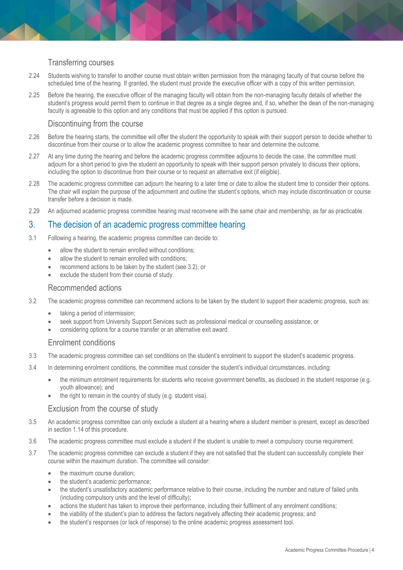## Transferring courses

- 2.24 Students wishing to transfer to another course must obtain written permission from the managing faculty of that course before the scheduled time of the hearing. If granted, the student must provide the executive officer with a copy of this written permission.
- 2.25 Before the hearing, the executive officer of the managing faculty will obtain from the non-managing faculty details of whether the student's progress would permit them to continue in that degree as a single degree and, if so, whether the dean of the non-managing faculty is agreeable to this option and any conditions that must be applied if this option is pursued.

#### Discontinuing from the course

- 2.26 Before the hearing starts, the committee will offer the student the opportunity to speak with their support person to decide whether to discontinue from their course or to allow the academic progress committee to hear and determine the outcome.
- 2.27 At any time during the hearing and before the academic progress committee adjourns to decide the case, the committee must adjourn for a short period to give the student an opportunity to speak with their support person privately to discuss their options, including the option to discontinue from their course or to request an alternative exit (if eligible).
- 2.28 The academic progress committee can adjourn the hearing to a later time or date to allow the student time to consider their options. The chair will explain the purpose of the adjournment and outline the student's options, which may include discontinuation or course transfer before a decision is made.
- 2.29 An adjourned academic progress committee hearing must reconvene with the same chair and membership, as far as practicable.

## 3. The decision of an academic progress committee hearing

- 3.1 Following a hearing, the academic progress committee can decide to:
	- allow the student to remain enrolled without conditions;
	- allow the student to remain enrolled with conditions:
	- recommend actions to be taken by the student (see 3.2); or
	- exclude the student from their course of study.

#### Recommended actions

- 3.2 The academic progress committee can recommend actions to be taken by the student to support their academic progress, such as:
	- taking a period of intermission;
	- seek support from University Support Services such as professional medical or counselling assistance; or
	- considering options for a course transfer or an alternative exit award.

#### Enrolment conditions

- 3.3 The academic progress committee can set conditions on the student's enrolment to support the student's academic progress.
- 3.4 In determining enrolment conditions, the committee must consider the student's individual circumstances, including:
	- the minimum enrolment requirements for students who receive government benefits, as disclosed in the student response (e.g. youth allowance); and
	- the right to remain in the country of study (e.g. student visa).

#### Exclusion from the course of study

- 3.5 An academic progress committee can only exclude a student at a hearing where a student member is present, except as described in section 1.14 of this procedure.
- 3.6 The academic progress committee must exclude a student if the student is unable to meet a compulsory course requirement.
- 3.7 The academic progress committee can exclude a student if they are not satisfied that the student can successfully complete their course within the maximum duration. The committee will consider:
	- the maximum course duration;
	- the student's academic performance;
	- the student's unsatisfactory academic performance relative to their course, including the number and nature of failed units (including compulsory units and the level of difficulty);
	- actions the student has taken to improve their performance, including their fulfilment of any enrolment conditions;
	- the viability of the student's plan to address the factors negatively affecting their academic progress; and
	- the student's responses (or lack of response) to the online academic progress assessment tool.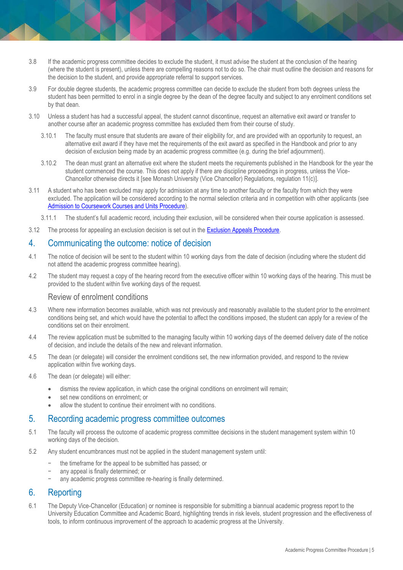- 3.8 If the academic progress committee decides to exclude the student, it must advise the student at the conclusion of the hearing (where the student is present), unless there are compelling reasons not to do so. The chair must outline the decision and reasons for the decision to the student, and provide appropriate referral to support services.
- 3.9 For double degree students, the academic progress committee can decide to exclude the student from both degrees unless the student has been permitted to enrol in a single degree by the dean of the degree faculty and subject to any enrolment conditions set by that dean.
- 3.10 Unless a student has had a successful appeal, the student cannot discontinue, request an alternative exit award or transfer to another course after an academic progress committee has excluded them from their course of study.
	- 3.10.1 The faculty must ensure that students are aware of their eligibility for, and are provided with an opportunity to request, an alternative exit award if they have met the requirements of the exit award as specified in the Handbook and prior to any decision of exclusion being made by an academic progress committee (e.g. during the brief adjournment).
	- 3.10.2 The dean must grant an alternative exit where the student meets the requirements published in the Handbook for the year the student commenced the course. This does not apply if there are discipline proceedings in progress, unless the Vice-Chancellor otherwise directs it [see Monash University (Vice Chancellor) Regulations, regulation 11(c)].
- 3.11 A student who has been excluded may apply for admission at any time to another faculty or the faculty from which they were excluded. The application will be considered according to the normal selection criteria and in competition with other applicants (see [Admission to Coursework Courses and Units Procedure\)](https://publicpolicydms.monash.edu/Monash/documents/1935750).
	- 3.11.1 The student's full academic record, including their exclusion, will be considered when their course application is assessed.
- 3.12 The process for appealing an exclusion decision is set out in th[e Exclusion Appeals Procedure.](https://publicpolicydms.monash.edu/Monash/documents/1935799)

# 4. Communicating the outcome: notice of decision

- 4.1 The notice of decision will be sent to the student within 10 working days from the date of decision (including where the student did not attend the academic progress committee hearing).
- 4.2 The student may request a copy of the hearing record from the executive officer within 10 working days of the hearing. This must be provided to the student within five working days of the request.

#### Review of enrolment conditions

- 4.3 Where new information becomes available, which was not previously and reasonably available to the student prior to the enrolment conditions being set, and which would have the potential to affect the conditions imposed, the student can apply for a review of the conditions set on their enrolment.
- 4.4 The review application must be submitted to the managing faculty within 10 working days of the deemed delivery date of the notice of decision, and include the details of the new and relevant information.
- 4.5 The dean (or delegate) will consider the enrolment conditions set, the new information provided, and respond to the review application within five working days.
- 4.6 The dean (or delegate) will either:
	- dismiss the review application, in which case the original conditions on enrolment will remain;
	- set new conditions on enrolment; or
	- allow the student to continue their enrolment with no conditions.

## 5. Recording academic progress committee outcomes

- 5.1 The faculty will process the outcome of academic progress committee decisions in the student management system within 10 working days of the decision.
- 5.2 Any student encumbrances must not be applied in the student management system until:
	- the timeframe for the appeal to be submitted has passed; or
	- any appeal is finally determined; or
	- any academic progress committee re-hearing is finally determined.

# 6. Reporting

6.1 The Deputy Vice-Chancellor (Education) or nominee is responsible for submitting a biannual academic progress report to the University Education Committee and Academic Board, highlighting trends in risk levels, student progression and the effectiveness of tools, to inform continuous improvement of the approach to academic progress at the University.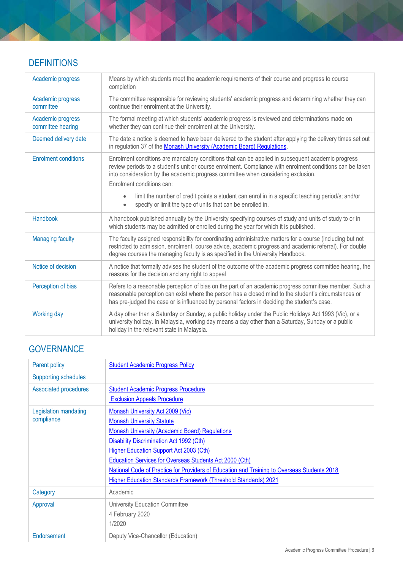# **DEFINITIONS**

| Academic progress                      | Means by which students meet the academic requirements of their course and progress to course<br>completion                                                                                                                                                                                                                      |
|----------------------------------------|----------------------------------------------------------------------------------------------------------------------------------------------------------------------------------------------------------------------------------------------------------------------------------------------------------------------------------|
| Academic progress<br>committee         | The committee responsible for reviewing students' academic progress and determining whether they can<br>continue their enrolment at the University.                                                                                                                                                                              |
| Academic progress<br>committee hearing | The formal meeting at which students' academic progress is reviewed and determinations made on<br>whether they can continue their enrolment at the University.                                                                                                                                                                   |
| Deemed delivery date                   | The date a notice is deemed to have been delivered to the student after applying the delivery times set out<br>in regulation 37 of the Monash University (Academic Board) Regulations.                                                                                                                                           |
| <b>Enrolment conditions</b>            | Enrolment conditions are mandatory conditions that can be applied in subsequent academic progress<br>review periods to a student's unit or course enrolment. Compliance with enrolment conditions can be taken<br>into consideration by the academic progress committee when considering exclusion.<br>Enrolment conditions can: |
|                                        | limit the number of credit points a student can enrol in in a specific teaching period/s; and/or<br>$\bullet$<br>specify or limit the type of units that can be enrolled in.<br>$\bullet$                                                                                                                                        |
| Handbook                               | A handbook published annually by the University specifying courses of study and units of study to or in<br>which students may be admitted or enrolled during the year for which it is published.                                                                                                                                 |
| <b>Managing faculty</b>                | The faculty assigned responsibility for coordinating administrative matters for a course (including but not<br>restricted to admission, enrolment, course advice, academic progress and academic referral). For double<br>degree courses the managing faculty is as specified in the University Handbook.                        |
| Notice of decision                     | A notice that formally advises the student of the outcome of the academic progress committee hearing, the<br>reasons for the decision and any right to appeal                                                                                                                                                                    |
| Perception of bias                     | Refers to a reasonable perception of bias on the part of an academic progress committee member. Such a<br>reasonable perception can exist where the person has a closed mind to the student's circumstances or<br>has pre-judged the case or is influenced by personal factors in deciding the student's case.                   |
| <b>Working day</b>                     | A day other than a Saturday or Sunday, a public holiday under the Public Holidays Act 1993 (Vic), or a<br>university holiday. In Malaysia, working day means a day other than a Saturday, Sunday or a public<br>holiday in the relevant state in Malaysia.                                                                       |

# **GOVERNANCE**

| Parent policy                       | <b>Student Academic Progress Policy</b>                                                     |
|-------------------------------------|---------------------------------------------------------------------------------------------|
| <b>Supporting schedules</b>         |                                                                                             |
| <b>Associated procedures</b>        | <b>Student Academic Progress Procedure</b>                                                  |
|                                     | <b>Exclusion Appeals Procedure</b>                                                          |
| Legislation mandating<br>compliance | <b>Monash University Act 2009 (Vic)</b>                                                     |
|                                     | <b>Monash University Statute</b>                                                            |
|                                     | <b>Monash University (Academic Board) Regulations</b>                                       |
|                                     | <b>Disability Discrimination Act 1992 (Cth)</b>                                             |
|                                     | <b>Higher Education Support Act 2003 (Cth)</b>                                              |
|                                     | Education Services for Overseas Students Act 2000 (Cth)                                     |
|                                     | National Code of Practice for Providers of Education and Training to Overseas Students 2018 |
|                                     | <b>Higher Education Standards Framework (Threshold Standards) 2021</b>                      |
| Category                            | Academic                                                                                    |
| Approval                            | <b>University Education Committee</b>                                                       |
|                                     | 4 February 2020                                                                             |
|                                     | 1/2020                                                                                      |
| Endorsement                         | Deputy Vice-Chancellor (Education)                                                          |